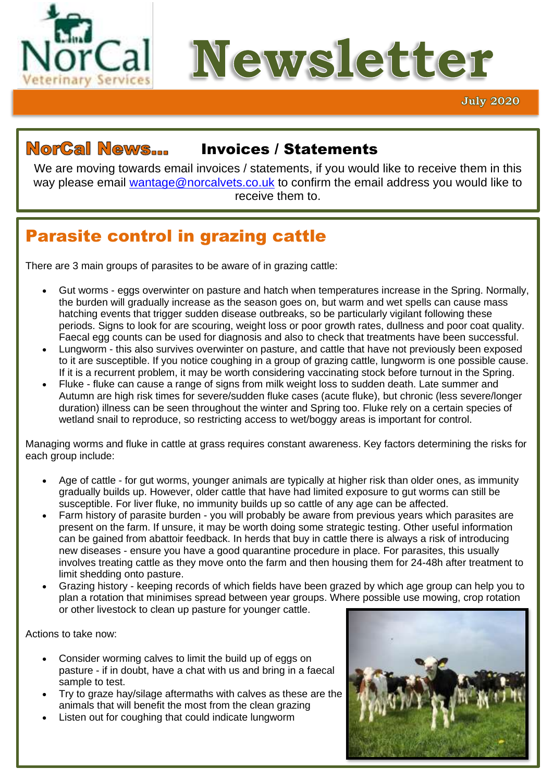



**July 2020** 

# Norcal News...

## Invoices / Statements

We are moving towards email invoices / statements, if you would like to receive them in this way please email [wantage@norcalvets.co.uk](mailto:wantage@norcalvets.co.uk) to confirm the email address you would like to receive them to.

# Parasite control in grazing cattle

There are 3 main groups of parasites to be aware of in grazing cattle:

- Gut worms eggs overwinter on pasture and hatch when temperatures increase in the Spring. Normally, the burden will gradually increase as the season goes on, but warm and wet spells can cause mass hatching events that trigger sudden disease outbreaks, so be particularly vigilant following these periods. Signs to look for are scouring, weight loss or poor growth rates, dullness and poor coat quality. Faecal egg counts can be used for diagnosis and also to check that treatments have been successful.
- Lungworm this also survives overwinter on pasture, and cattle that have not previously been exposed to it are susceptible. If you notice coughing in a group of grazing cattle, lungworm is one possible cause. If it is a recurrent problem, it may be worth considering vaccinating stock before turnout in the Spring.
- Fluke fluke can cause a range of signs from milk weight loss to sudden death. Late summer and Autumn are high risk times for severe/sudden fluke cases (acute fluke), but chronic (less severe/longer duration) illness can be seen throughout the winter and Spring too. Fluke rely on a certain species of wetland snail to reproduce, so restricting access to wet/boggy areas is important for control.

Managing worms and fluke in cattle at grass requires constant awareness. Key factors determining the risks for each group include:

- Age of cattle for gut worms, younger animals are typically at higher risk than older ones, as immunity gradually builds up. However, older cattle that have had limited exposure to gut worms can still be susceptible. For liver fluke, no immunity builds up so cattle of any age can be affected.
- Farm history of parasite burden you will probably be aware from previous years which parasites are present on the farm. If unsure, it may be worth doing some strategic testing. Other useful information can be gained from abattoir feedback. In herds that buy in cattle there is always a risk of introducing new diseases - ensure you have a good quarantine procedure in place. For parasites, this usually involves treating cattle as they move onto the farm and then housing them for 24-48h after treatment to limit shedding onto pasture.
- Grazing history keeping records of which fields have been grazed by which age group can help you to plan a rotation that minimises spread between year groups. Where possible use mowing, crop rotation or other livestock to clean up pasture for younger cattle.

Actions to take now:

- Consider worming calves to limit the build up of eggs on pasture - if in doubt, have a chat with us and bring in a faecal sample to test.
- Try to graze hay/silage aftermaths with calves as these are the animals that will benefit the most from the clean grazing
- Listen out for coughing that could indicate lungworm